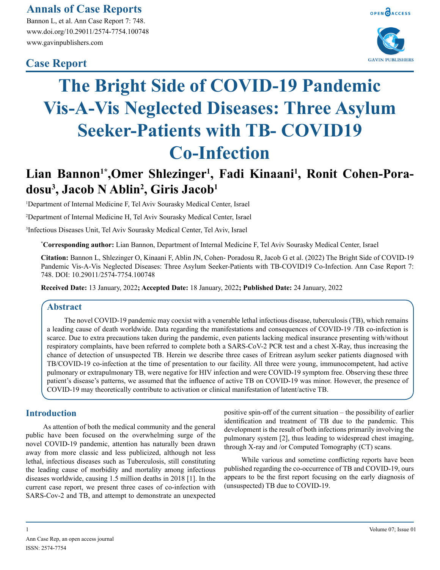### **Annals of Case Reports**

Bannon L, et al. Ann Case Report 7: 748. www.doi.org/10.29011/2574-7754.100748 www.gavinpublishers.com

## **Case Report**





# **The Bright Side of COVID-19 Pandemic Vis-A-Vis Neglected Diseases: Three Asylum Seeker-Patients with TB- COVID19 Co-Infection**

# Lian Bannon<sup>1\*</sup>,Omer Shlezinger<sup>1</sup>, Fadi Kinaani<sup>1</sup>, Ronit Cohen-Pora**dosu3 , Jacob N Ablin2 , Giris Jacob1**

1 Department of Internal Medicine F, Tel Aviv Sourasky Medical Center, Israel

2 Department of Internal Medicine H, Tel Aviv Sourasky Medical Center, Israel

3 Infectious Diseases Unit, Tel Aviv Sourasky Medical Center, Tel Aviv, Israel

**\* Corresponding author:** Lian Bannon, Department of Internal Medicine F, Tel Aviv Sourasky Medical Center, Israel

**Citation:** Bannon L, Shlezinger O, Kinaani F, Ablin JN, Cohen- Poradosu R, Jacob G et al. (2022) The Bright Side of COVID-19 Pandemic Vis-A-Vis Neglected Diseases: Three Asylum Seeker-Patients with TB-COVID19 Co-Infection. Ann Case Report 7: 748. DOI: 10.29011/2574-7754.100748

**Received Date:** 13 January, 2022**; Accepted Date:** 18 January, 2022**; Published Date:** 24 January, 2022

#### **Abstract**

The novel COVID-19 pandemic may coexist with a venerable lethal infectious disease, tuberculosis (TB), which remains a leading cause of death worldwide. Data regarding the manifestations and consequences of COVID-19 /TB co-infection is scarce. Due to extra precautions taken during the pandemic, even patients lacking medical insurance presenting with/without respiratory complaints, have been referred to complete both a SARS-CoV-2 PCR test and a chest X-Ray, thus increasing the chance of detection of unsuspected TB. Herein we describe three cases of Eritrean asylum seeker patients diagnosed with TB/COVID-19 co-infection at the time of presentation to our facility. All three were young, immunocompetent, had active pulmonary or extrapulmonary TB, were negative for HIV infection and were COVID-19 symptom free. Observing these three patient's disease's patterns, we assumed that the influence of active TB on COVID-19 was minor. However, the presence of COVID-19 may theoretically contribute to activation or clinical manifestation of latent/active TB.

#### **Introduction**

As attention of both the medical community and the general public have been focused on the overwhelming surge of the novel COVID-19 pandemic, attention has naturally been drawn away from more classic and less publicized, although not less lethal, infectious diseases such as Tuberculosis, still constituting the leading cause of morbidity and mortality among infectious diseases worldwide, causing 1.5 million deaths in 2018 [1]. In the current case report, we present three cases of co-infection with SARS-Cov-2 and TB, and attempt to demonstrate an unexpected

positive spin-off of the current situation – the possibility of earlier identification and treatment of TB due to the pandemic. This development is the result of both infections primarily involving the pulmonary system [2], thus leading to widespread chest imaging, through X-ray and /or Computed Tomography (CT) scans.

While various and sometime conflicting reports have been published regarding the co-occurrence of TB and COVID-19, ours appears to be the first report focusing on the early diagnosis of (unsuspected) TB due to COVID-19.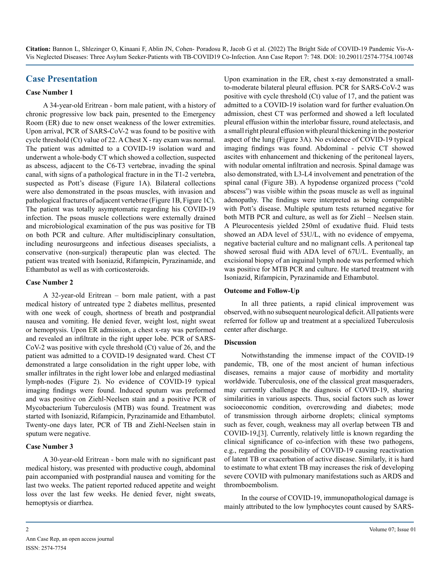#### **Case Presentation**

#### **Case Number 1**

A 34-year-old Eritrean - born male patient, with a history of chronic progressive low back pain, presented to the Emergency Room (ER) due to new onset weakness of the lower extremities. Upon arrival, PCR of SARS-CoV-2 was found to be positive with cycle threshold (Ct) value of 22. A Chest X - ray exam was normal. The patient was admitted to a COVID-19 isolation ward and underwent a whole-body CT which showed a collection, suspected as abscess, adjacent to the C6-T3 vertebrae, invading the spinal canal, with signs of a pathological fracture in in the T1-2 vertebra, suspected as Pott's disease (Figure 1A). Bilateral collections were also demonstrated in the psoas muscles, with invasion and pathological fractures of adjacent vertebrae (Figure 1B, Figure 1C). The patient was totally asymptomatic regarding his COVID-19 infection. The psoas muscle collections were externally drained and microbiological examination of the pus was positive for TB on both PCR and culture. After multidisciplinary consultation, including neurosurgeons and infectious diseases specialists, a conservative (non-surgical) therapeutic plan was elected. The patient was treated with Isoniazid, Rifampicin, Pyrazinamide, and Ethambutol as well as with corticosteroids.

#### **Case Number 2**

A 32-year-old Eritrean – born male patient, with a past medical history of untreated type 2 diabetes mellitus, presented with one week of cough, shortness of breath and postprandial nausea and vomiting. He denied fever, weight lost, night sweat or hemoptysis. Upon ER admission, a chest x-ray was performed and revealed an infiltrate in the right upper lobe. PCR of SARS-CoV-2 was positive with cycle threshold (Ct) value of 26, and the patient was admitted to a COVID-19 designated ward. Chest CT demonstrated a large consolidation in the right upper lobe, with smaller infiltrates in the right lower lobe and enlarged mediastinal lymph-nodes (Figure 2). No evidence of COVID-19 typical imaging findings were found. Induced sputum was preformed and was positive on Ziehl-Neelsen stain and a positive PCR of Mycobacterium Tuberculosis (MTB) was found. Treatment was started with Isoniazid, Rifampicin, Pyrazinamide and Ethambutol. Twenty-one days later, PCR of TB and Ziehl-Neelsen stain in sputum were negative.

#### **Case Number 3**

A 30-year-old Eritrean - born male with no significant past medical history, was presented with productive cough, abdominal pain accompanied with postprandial nausea and vomiting for the last two weeks. The patient reported reduced appetite and weight loss over the last few weeks. He denied fever, night sweats, hemoptysis or diarrhea.

Upon examination in the ER, chest x-ray demonstrated a smallto-moderate bilateral pleural effusion. PCR for SARS-CoV-2 was positive with cycle threshold (Ct) value of 17, and the patient was admitted to a COVID-19 isolation ward for further evaluation.On admission, chest CT was performed and showed a left loculated pleural effusion within the interlobar fissure, round atelectasis, and a small right pleural effusion with pleural thickening in the posterior aspect of the lung (Figure 3A). No evidence of COVID-19 typical imaging findings was found. Abdominal - pelvic CT showed ascites with enhancement and thickening of the peritoneal layers, with nodular omental infiltration and necrosis. Spinal damage was also demonstrated, with L3-L4 involvement and penetration of the spinal canal (Figure 3B). A hypodense organized process ("cold abscess") was visible within the psoas muscle as well as inguinal adenopathy. The findings were interpreted as being compatible with Pott's disease. Multiple sputum tests returned negative for both MTB PCR and culture, as well as for Ziehl – Neelsen stain. A Pleurocentesis yielded 250ml of exudative fluid. Fluid tests showed an ADA level of 53U/L, with no evidence of empyema, negative bacterial culture and no malignant cells. A peritoneal tap showed serosal fluid with ADA level of 67U/L. Eventually, an excisional biopsy of an inguinal lymph node was performed which was positive for MTB PCR and culture. He started treatment with Isoniazid, Rifampicin, Pyrazinamide and Ethambutol.

#### **Outcome and Follow-Up**

In all three patients, a rapid clinical improvement was observed, with no subsequent neurological deficit. All patients were referred for follow up and treatment at a specialized Tuberculosis center after discharge.

#### **Discussion**

Notwithstanding the immense impact of the COVID-19 pandemic, TB, one of the most ancient of human infectious diseases, remains a major cause of morbidity and mortality worldwide. Tuberculosis, one of the classical great masqueraders, may currently challenge the diagnosis of COVID-19, sharing similarities in various aspects. Thus, social factors such as lower socioeconomic condition, overcrowding and diabetes; mode of transmission through airborne droplets; clinical symptoms such as fever, cough, weakness may all overlap between TB and COVID-19,[3]. Currently, relatively little is known regarding the clinical significance of co-infection with these two pathogens, e.g., regarding the possibility of COVID-19 causing reactivation of latent TB or exacerbation of active disease. Similarly, it is hard to estimate to what extent TB may increases the risk of developing severe COVID with pulmonary manifestations such as ARDS and thromboembolism.

In the course of COVID-19, immunopathological damage is mainly attributed to the low lymphocytes count caused by SARS-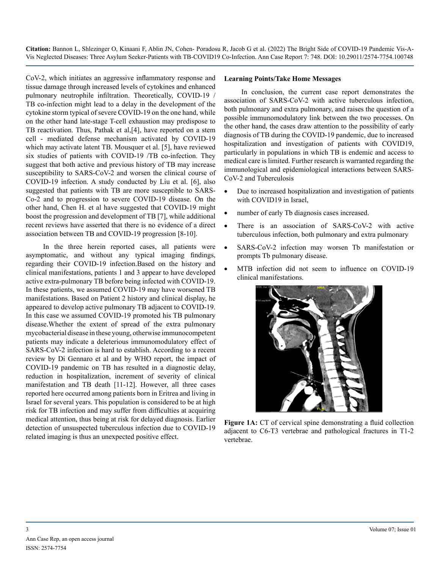CoV-2, which initiates an aggressive inflammatory response and tissue damage through increased levels of cytokines and enhanced pulmonary neutrophile infiltration. Theoretically, COVID-19 / TB co-infection might lead to a delay in the development of the cytokine storm typical of severe COVID-19 on the one hand, while on the other hand late-stage T-cell exhaustion may predispose to TB reactivation. Thus, Pathak et al,[4], have reported on a stem cell - mediated defense mechanism activated by COVID-19 which may activate latent TB. Mousquer et al. [5], have reviewed six studies of patients with COVID-19 /TB co-infection. They suggest that both active and previous history of TB may increase susceptibility to SARS-CoV-2 and worsen the clinical course of COVID-19 infection. A study conducted by Liu et al. [6], also suggested that patients with TB are more susceptible to SARS-Co-2 and to progression to severe COVID-19 disease. On the other hand, Chen H. et al have suggested that COVID-19 might boost the progression and development of TB [7], while additional recent reviews have asserted that there is no evidence of a direct association between TB and COVID-19 progression [8-10].

In the three herein reported cases, all patients were asymptomatic, and without any typical imaging findings, regarding their COVID-19 infection.Based on the history and clinical manifestations, patients 1 and 3 appear to have developed active extra-pulmonary TB before being infected with COVID-19. In these patients, we assumed COVID-19 may have worsened TB manifestations. Based on Patient 2 history and clinical display, he appeared to develop active pulmonary TB adjacent to COVID-19. In this case we assumed COVID-19 promoted his TB pulmonary disease.Whether the extent of spread of the extra pulmonary mycobacterial disease in these young, otherwise immunocompetent patients may indicate a deleterious immunomodulatory effect of SARS-CoV-2 infection is hard to establish. According to a recent review by Di Gennaro et al and by WHO report, the impact of COVID-19 pandemic on TB has resulted in a diagnostic delay, reduction in hospitalization, increment of severity of clinical manifestation and TB death [11-12]. However, all three cases reported here occurred among patients born in Eritrea and living in Israel for several years. This population is considered to be at high risk for TB infection and may suffer from difficulties at acquiring medical attention, thus being at risk for delayed diagnosis. Earlier detection of unsuspected tuberculous infection due to COVID-19 related imaging is thus an unexpected positive effect.

#### **Learning Points/Take Home Messages**

In conclusion, the current case report demonstrates the association of SARS-CoV-2 with active tuberculous infection, both pulmonary and extra pulmonary, and raises the question of a possible immunomodulatory link between the two processes. On the other hand, the cases draw attention to the possibility of early diagnosis of TB during the COVID-19 pandemic, due to increased hospitalization and investigation of patients with COVID19, particularly in populations in which TB is endemic and access to medical care is limited. Further research is warranted regarding the immunological and epidemiological interactions between SARS-CoV-2 and Tuberculosis

- Due to increased hospitalization and investigation of patients with COVID19 in Israel,
- number of early Tb diagnosis cases increased.
- There is an association of SARS-CoV-2 with active tuberculous infection, both pulmonary and extra pulmonary
- SARS-CoV-2 infection may worsen Tb manifestation or prompts Tb pulmonary disease.
- MTB infection did not seem to influence on COVID-19 clinical manifestations.



**Figure 1A:** CT of cervical spine demonstrating a fluid collection adjacent to C6-T3 vertebrae and pathological fractures in T1-2 vertebrae.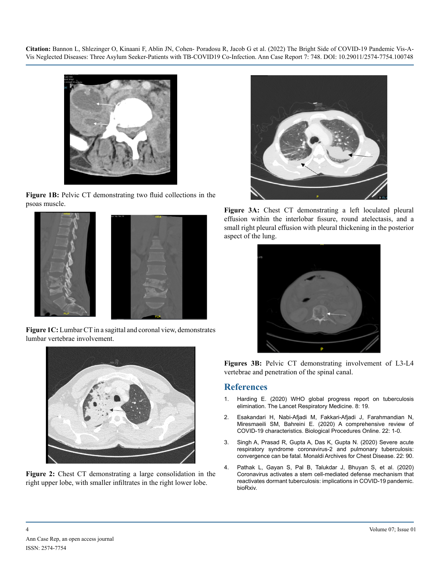

**Figure 1B:** Pelvic CT demonstrating two fluid collections in the psoas muscle.



**Figure 1C:** Lumbar CT in a sagittal and coronal view, demonstrates lumbar vertebrae involvement.



**Figure 2:** Chest CT demonstrating a large consolidation in the right upper lobe, with smaller infiltrates in the right lower lobe.



**Figure 3A:** Chest CT demonstrating a left loculated pleural effusion within the interlobar fissure, round atelectasis, and a small right pleural effusion with pleural thickening in the posterior aspect of the lung.



**Figures 3B:** Pelvic CT demonstrating involvement of L3-L4 vertebrae and penetration of the spinal canal.

#### **References**

- 1. [Harding E. \(2020\) WHO global progress report on tuberculosis](https://pubmed.ncbi.nlm.nih.gov/31706931/)  [elimination. The Lancet Respiratory Medicine. 8: 19.](https://pubmed.ncbi.nlm.nih.gov/31706931/)
- 2. Esakandari H, Nabi-Afjadi M, Fakkari-Afjadi J, Farahmandian N, Miresmaeili SM, Bahreini E. (2020) A comprehensive review of COVID-19 characteristics. Biological Procedures Online. 22: 1-0.
- 3. [Singh A, Prasad R, Gupta A, Das K, Gupta N. \(2020\) Severe acute](https://pubmed.ncbi.nlm.nih.gov/32697060/) [respiratory syndrome coronavirus-2 and pulmonary tuberculosis:](https://pubmed.ncbi.nlm.nih.gov/32697060/)  [convergence can be fatal. Monaldi Archives for Chest Disease. 22: 90.](https://pubmed.ncbi.nlm.nih.gov/32697060/)
- 4. Pathak L, Gayan S, Pal B, Talukdar J, Bhuyan S, et al. (2020) Coronavirus activates a stem cell-mediated defense mechanism that reactivates dormant tuberculosis: implications in COVID-19 pandemic. bioRxiv.